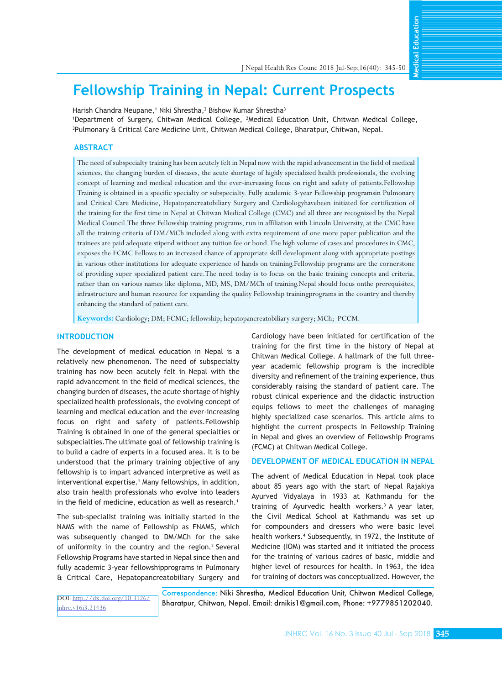Education **Medical Education**

**Medical** 

# **Fellowship Training in Nepal: Current Prospects**

Harish Chandra Neupane,† Niki Shrestha,<sup>2</sup> Bishow Kumar Shrestha<sup>3</sup>

1 Department of Surgery, Chitwan Medical College, <sup>2</sup> Medical Education Unit, Chitwan Medical College, 3 Pulmonary & Critical Care Medicine Unit, Chitwan Medical College, Bharatpur, Chitwan, Nepal.

## **ABSTRACT**

The need of subspecialty training has been acutely felt in Nepal now with the rapid advancement in the field of medical sciences, the changing burden of diseases, the acute shortage of highly specialized health professionals, the evolving concept of learning and medical education and the ever-increasing focus on right and safety of patients.Fellowship Training is obtained in a specific specialty or subspecialty. Fully academic 3-year Fellowship programsin Pulmonary and Critical Care Medicine, Hepatopancreatobiliary Surgery and Cardiologyhavebeen initiated for certification of the training for the first time in Nepal at Chitwan Medical College (CMC) and all three are recognized by the Nepal Medical Council.The three Fellowship training programs, run in affiliation with Lincoln University, at the CMC have all the training criteria of DM/MCh included along with extra requirement of one more paper publication and the trainees are paid adequate stipend without any tuition fee or bond. The high volume of cases and procedures in CMC, exposes the FCMC Fellows to an increased chance of appropriate skill development along with appropriate postings in various other institutions for adequate experience of hands on training.Fellowship programs are the cornerstone of providing super specialized patient care.The need today is to focus on the basic training concepts and criteria, rather than on various names like diploma, MD, MS, DM/MCh of training.Nepal should focus onthe prerequisites, infrastructure and human resource for expanding the quality Fellowship trainingprograms in the country and thereby enhancing the standard of patient care.

**Keywords:** Cardiology; DM; FCMC; fellowship; hepatopancreatobiliary surgery; MCh; PCCM.

## **INTRODUCTION**

The development of medical education in Nepal is a relatively new phenomenon. The need of subspecialty training has now been acutely felt in Nepal with the rapid advancement in the field of medical sciences, the changing burden of diseases, the acute shortage of highly specialized health professionals, the evolving concept of learning and medical education and the ever-increasing focus on right and safety of patients.Fellowship Training is obtained in one of the general specialties or subspecialties.The ultimate goal of fellowship training is to build a cadre of experts in a focused area. It is to be understood that the primary training objective of any fellowship is to impart advanced interpretive as well as interventional expertise.<sup>1</sup> Many fellowships, in addition, also train health professionals who evolve into leaders in the field of medicine, education as well as research.<sup>1</sup>

The sub-specialist training was initially started in the NAMS with the name of Fellowship as FNAMS, which was subsequently changed to DM/MCh for the sake of uniformity in the country and the region.<sup>2</sup> Several Fellowship Programs have started in Nepal since then and fully academic 3-year fellowshipprograms in Pulmonary & Critical Care, Hepatopancreatobiliary Surgery and Cardiology have been initiated for certification of the training for the first time in the history of Nepal at Chitwan Medical College. A hallmark of the full threeyear academic fellowship program is the incredible diversity and refinement of the training experience, thus considerably raising the standard of patient care. The robust clinical experience and the didactic instruction equips fellows to meet the challenges of managing highly specialized case scenarios. This article aims to highlight the current prospects in Fellowship Training in Nepal and gives an overview of Fellowship Programs (FCMC) at Chitwan Medical College.

## **DEVELOPMENT OF MEDICAL EDUCATION IN NEPAL**

The advent of Medical Education in Nepal took place about 85 years ago with the start of Nepal Rajakiya Ayurved Vidyalaya in 1933 at Kathmandu for the training of Ayurvedic health workers.<sup>3</sup> A year later, the Civil Medical School at Kathmandu was set up for compounders and dressers who were basic level health workers.4 Subsequently, in 1972, the Institute of Medicine (IOM) was started and it initiated the process for the training of various cadres of basic, middle and higher level of resources for health. In 1963, the idea for training of doctors was conceptualized. However, the

DOI: [http://dx.doi.org/10.3126/](http://dx.doi.org/10.3126/jnhrc.v16i3.21436) [jnhrc.v16i3.21436](http://dx.doi.org/10.3126/jnhrc.v16i3.21436)

Correspondence: Niki Shrestha, Medical Education Unit, Chitwan Medical College, Bharatpur, Chitwan, Nepal. Email: drnikis1@gmail.com, Phone: +9779851202040.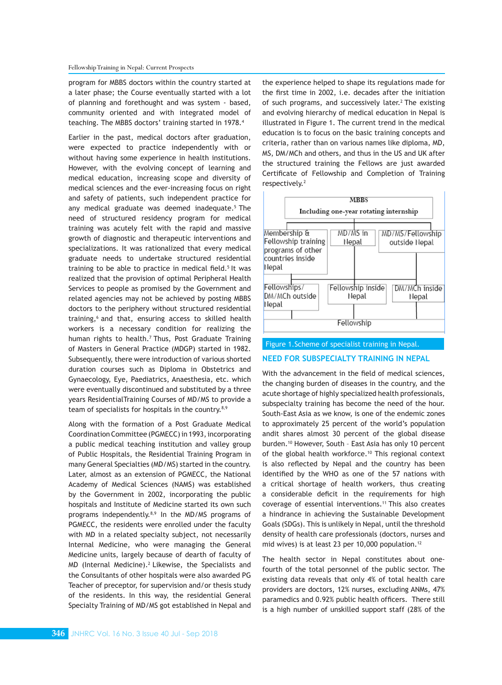#### Fellowship Training in Nepal: Current Prospects

program for MBBS doctors within the country started at a later phase; the Course eventually started with a lot of planning and forethought and was system - based, community oriented and with integrated model of teaching. The MBBS doctors' training started in 1978.<sup>4</sup>

Earlier in the past, medical doctors after graduation, were expected to practice independently with or without having some experience in health institutions. However, with the evolving concept of learning and medical education, increasing scope and diversity of medical sciences and the ever-increasing focus on right and safety of patients, such independent practice for any medical graduate was deemed inadequate.<sup>5</sup> The need of structured residency program for medical training was acutely felt with the rapid and massive growth of diagnostic and therapeutic interventions and specializations. It was rationalized that every medical graduate needs to undertake structured residential training to be able to practice in medical field.<sup>5</sup> It was realized that the provision of optimal Peripheral Health Services to people as promised by the Government and related agencies may not be achieved by posting MBBS doctors to the periphery without structured residential training,<sup>6</sup> and that, ensuring access to skilled health workers is a necessary condition for realizing the human rights to health.<sup>7</sup> Thus, Post Graduate Training of Masters in General Practice (MDGP) started in 1982. Subsequently, there were introduction of various shorted duration courses such as Diploma in Obstetrics and Gynaecology, Eye, Paediatrics, Anaesthesia, etc. which were eventually discontinued and substituted by a three years ResidentialTraining Courses of MD/MS to provide a team of specialists for hospitals in the country.<sup>8,9</sup>

Along with the formation of a Post Graduate Medical Coordination Committee (PGMECC) in 1993, incorporating a public medical teaching institution and valley group of Public Hospitals, the Residential Training Program in many General Specialties (MD/MS) started in the country. Later, almost as an extension of PGMECC, the National Academy of Medical Sciences (NAMS) was established by the Government in 2002, incorporating the public hospitals and Institute of Medicine started its own such programs independently.<sup>8,9</sup> In the MD/MS programs of PGMECC, the residents were enrolled under the faculty with MD in a related specialty subject, not necessarily Internal Medicine, who were managing the General Medicine units, largely because of dearth of faculty of MD (Internal Medicine).<sup>2</sup> Likewise, the Specialists and the Consultants of other hospitals were also awarded PG Teacher of preceptor, for supervision and/or thesis study of the residents. In this way, the residential General Specialty Training of MD/MS got established in Nepal and

the experience helped to shape its regulations made for the first time in 2002, i.e. decades after the initiation of such programs, and successively later.<sup>2</sup> The existing and evolving hierarchy of medical education in Nepal is illustrated in Figure 1. The current trend in the medical education is to focus on the basic training concepts and criteria, rather than on various names like diploma, MD, MS, DM/MCh and others, and thus in the US and UK after the structured training the Fellows are just awarded Certificate of Fellowship and Completion of Training respectively.<sup>2</sup>



#### Figure 1.Scheme of specialist training in Nepal.

## **NEED FOR SUBSPECIALTY TRAINING IN NEPAL**

With the advancement in the field of medical sciences, the changing burden of diseases in the country, and the acute shortage of highly specialized health professionals, subspecialty training has become the need of the hour. South-East Asia as we know, is one of the endemic zones to approximately 25 percent of the world's population andit shares almost 30 percent of the global disease burden.10 However, South – East Asia has only 10 percent of the global health workforce.<sup>10</sup> This regional context is also reflected by Nepal and the country has been identified by the WHO as one of the 57 nations with a critical shortage of health workers, thus creating a considerable deficit in the requirements for high coverage of essential interventions.<sup>11</sup> This also creates a hindrance in achieving the Sustainable Development Goals (SDGs). This is unlikely in Nepal, until the threshold density of health care professionals (doctors, nurses and mid wives) is at least 23 per 10,000 population.<sup>12</sup>

The health sector in Nepal constitutes about onefourth of the total personnel of the public sector. The existing data reveals that only 4% of total health care providers are doctors, 12% nurses, excluding ANMs, 47% paramedics and 0.92% public health officers. There still is a high number of unskilled support staff (28% of the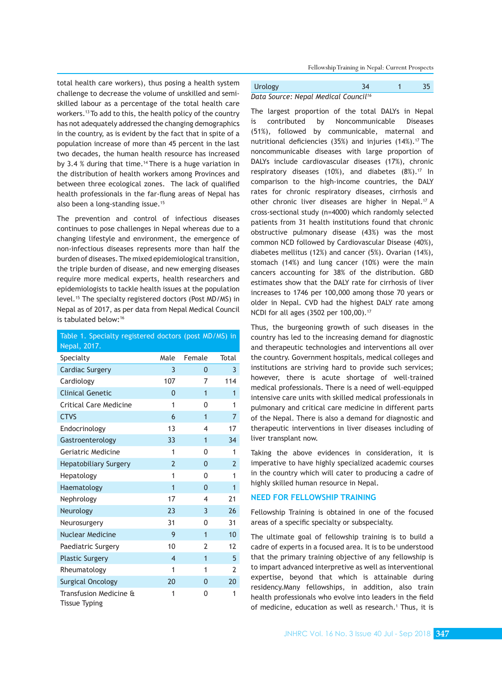Fellowship Training in Nepal: Current Prospects

total health care workers), thus posing a health system challenge to decrease the volume of unskilled and semiskilled labour as a percentage of the total health care workers.13 To add to this, the health policy of the country has not adequately addressed the changing demographics in the country, as is evident by the fact that in spite of a population increase of more than 45 percent in the last two decades, the human health resource has increased by 3.4 % during that time.<sup>14</sup> There is a huge variation in the distribution of health workers among Provinces and between three ecological zones. The lack of qualified health professionals in the far-flung areas of Nepal has also been a long-standing issue.<sup>15</sup>

The prevention and control of infectious diseases continues to pose challenges in Nepal whereas due to a changing lifestyle and environment, the emergence of non-infectious diseases represents more than half the burden of diseases. The mixed epidemiological transition, the triple burden of disease, and new emerging diseases require more medical experts, health researchers and epidemiologists to tackle health issues at the population level.<sup>15</sup> The specialty registered doctors (Post MD/MS) in Nepal as of 2017, as per data from Nepal Medical Council is tabulated below:16

| Table 1. Specialty registered doctors (post MD/MS) in |                |                |                |
|-------------------------------------------------------|----------------|----------------|----------------|
| Nepal, 2017.                                          |                |                |                |
| Specialty                                             | Male           | Female         | Total          |
| <b>Cardiac Surgery</b>                                | 3              | 0              | 3              |
| Cardiology                                            | 107            | 7              | 114            |
| <b>Clinical Genetic</b>                               | 0              | $\overline{1}$ | $\mathbf{1}$   |
| <b>Critical Care Medicine</b>                         | 1              | 0              | 1              |
| <b>CTVS</b>                                           | 6              | $\overline{1}$ | $\overline{7}$ |
| Endocrinology                                         | 13             | 4              | 17             |
| Gastroenterology                                      | 33             | $\overline{1}$ | 34             |
| Geriatric Medicine                                    | 1              | 0              | 1              |
| <b>Hepatobiliary Surgery</b>                          | $\overline{2}$ | $\Omega$       | $\overline{2}$ |
| Hepatology                                            | 1              | 0              | 1              |
| Haematology                                           | $\overline{1}$ | $\Omega$       | $\mathbf{1}$   |
| Nephrology                                            | 17             | 4              | 21             |
| Neurology                                             | 23             | 3              | 26             |
| Neurosurgery                                          | 31             | 0              | 31             |
| <b>Nuclear Medicine</b>                               | 9              | $\overline{1}$ | 10             |
| Paediatric Surgery                                    | 10             | $\overline{2}$ | 12             |
| <b>Plastic Surgery</b>                                | $\overline{4}$ | $\overline{1}$ | 5              |
| Rheumatology                                          | 1              | 1              | $\overline{2}$ |
| <b>Surgical Oncology</b>                              | 20             | $\mathbf{0}$   | 20             |
| Transfusion Medicine &<br><b>Tissue Typing</b>        | 1              | 0              | 1              |

| Urology                                          | 34 | 35 |
|--------------------------------------------------|----|----|
| Data Source: Nepal Medical Council <sup>16</sup> |    |    |

The largest proportion of the total DALYs in Nepal is contributed by Noncommunicable Diseases (51%), followed by communicable, maternal and nutritional deficiencies (35%) and injuries  $(14\%)$ .<sup>17</sup> The noncommunicable diseases with large proportion of DALYs include cardiovascular diseases (17%), chronic respiratory diseases (10%), and diabetes  $(8\%)$ .<sup>17</sup> In comparison to the high-income countries, the DALY rates for chronic respiratory diseases, cirrhosis and other chronic liver diseases are higher in Nepal.<sup>17</sup> A cross-sectional study (n=4000) which randomly selected patients from 31 health institutions found that chronic obstructive pulmonary disease (43%) was the most common NCD followed by Cardiovascular Disease (40%), diabetes mellitus (12%) and cancer (5%). Ovarian (14%), stomach (14%) and lung cancer (10%) were the main cancers accounting for 38% of the distribution. GBD estimates show that the DALY rate for cirrhosis of liver increases to 1746 per 100,000 among those 70 years or older in Nepal. CVD had the highest DALY rate among NCDI for all ages (3502 per 100,00).<sup>17</sup>

Thus, the burgeoning growth of such diseases in the country has led to the increasing demand for diagnostic and therapeutic technologies and interventions all over the country. Government hospitals, medical colleges and institutions are striving hard to provide such services; however, there is acute shortage of well-trained medical professionals. There is a need of well-equipped intensive care units with skilled medical professionals in pulmonary and critical care medicine in different parts of the Nepal. There is also a demand for diagnostic and therapeutic interventions in liver diseases including of liver transplant now.

Taking the above evidences in consideration, it is imperative to have highly specialized academic courses in the country which will cater to producing a cadre of highly skilled human resource in Nepal.

## **NEED FOR FELLOWSHIP TRAINING**

Fellowship Training is obtained in one of the focused areas of a specific specialty or subspecialty.

The ultimate goal of fellowship training is to build a cadre of experts in a focused area. It is to be understood that the primary training objective of any fellowship is to impart advanced interpretive as well as interventional expertise, beyond that which is attainable during residency.Many fellowships, in addition, also train health professionals who evolve into leaders in the field of medicine, education as well as research.<sup>1</sup> Thus, it is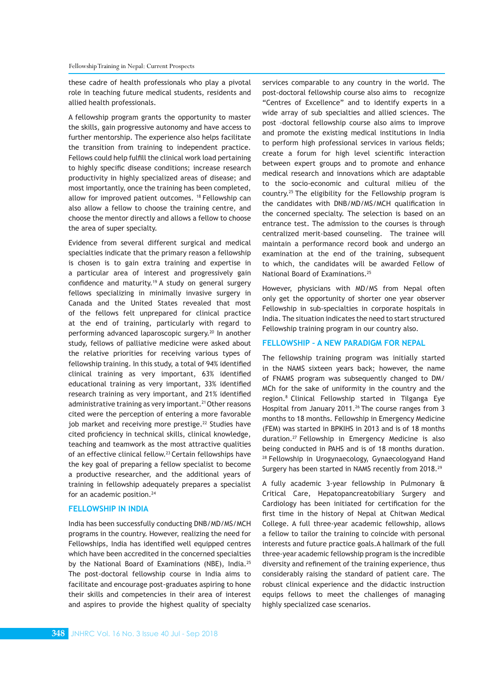these cadre of health professionals who play a pivotal role in teaching future medical students, residents and allied health professionals.

A fellowship program grants the opportunity to master the skills, gain progressive autonomy and have access to further mentorship. The experience also helps facilitate the transition from training to independent practice. Fellows could help fulfill the clinical work load pertaining to highly specific disease conditions; increase research productivity in highly specialized areas of disease; and most importantly, once the training has been completed, allow for improved patient outcomes. 18 Fellowship can also allow a fellow to choose the training centre, and choose the mentor directly and allows a fellow to choose the area of super specialty.

Evidence from several different surgical and medical specialties indicate that the primary reason a fellowship is chosen is to gain extra training and expertise in a particular area of interest and progressively gain confidence and maturity.<sup>19</sup> A study on general surgery fellows specializing in minimally invasive surgery in Canada and the United States revealed that most of the fellows felt unprepared for clinical practice at the end of training, particularly with regard to performing advanced laparoscopic surgery.<sup>20</sup> In another study, fellows of palliative medicine were asked about the relative priorities for receiving various types of fellowship training. In this study, a total of 94% identified clinical training as very important, 63% identified educational training as very important, 33% identified research training as very important, and 21% identified administrative training as very important.<sup>21</sup> Other reasons cited were the perception of entering a more favorable job market and receiving more prestige.<sup>22</sup> Studies have cited proficiency in technical skills, clinical knowledge, teaching and teamwork as the most attractive qualities of an effective clinical fellow.<sup>23</sup> Certain fellowships have the key goal of preparing a fellow specialist to become a productive researcher, and the additional years of training in fellowship adequately prepares a specialist for an academic position.<sup>24</sup>

#### **FELLOWSHIP IN INDIA**

India has been successfully conducting DNB/MD/MS/MCH programs in the country. However, realizing the need for Fellowships, India has identified well equipped centres which have been accredited in the concerned specialties by the National Board of Examinations (NBE), India.<sup>25</sup> The post-doctoral fellowship course in India aims to facilitate and encourage post-graduates aspiring to hone their skills and competencies in their area of interest and aspires to provide the highest quality of specialty

services comparable to any country in the world. The post-doctoral fellowship course also aims to recognize "Centres of Excellence" and to identify experts in a wide array of sub specialties and allied sciences. The post -doctoral fellowship course also aims to improve and promote the existing medical institutions in India to perform high professional services in various fields; create a forum for high level scientific interaction between expert groups and to promote and enhance medical research and innovations which are adaptable to the socio-economic and cultural milieu of the country.<sup>25</sup> The eligibility for the Fellowship program is the candidates with DNB/MD/MS/MCH qualification in the concerned specialty. The selection is based on an entrance test. The admission to the courses is through centralized merit-based counseling. The trainee will maintain a performance record book and undergo an examination at the end of the training, subsequent to which, the candidates will be awarded Fellow of National Board of Examinations.<sup>25</sup>

However, physicians with MD/MS from Nepal often only get the opportunity of shorter one year observer Fellowship in sub-specialties in corporate hospitals in India. The situation indicates the need to start structured Fellowship training program in our country also.

## **FELLOWSHIP – A NEW PARADIGM FOR NEPAL**

The fellowship training program was initially started in the NAMS sixteen years back; however, the name of FNAMS program was subsequently changed to DM/ MCh for the sake of uniformity in the country and the region.8 Clinical Fellowship started in Tilganga Eye Hospital from January 2011.<sup>26</sup> The course ranges from 3 months to 18 months. Fellowship in Emergency Medicine (FEM) was started in BPKIHS in 2013 and is of 18 months duration.<sup>27</sup> Fellowship in Emergency Medicine is also being conducted in PAHS and is of 18 months duration. 28 Fellowship in Urogynaecology, Gynaecologyand Hand Surgery has been started in NAMS recently from 2018.29

A fully academic 3-year fellowship in Pulmonary & Critical Care, Hepatopancreatobiliary Surgery and Cardiology has been initiated for certification for the first time in the history of Nepal at Chitwan Medical College. A full three-year academic fellowship, allows a fellow to tailor the training to coincide with personal interests and future practice goals.A hallmark of the full three-year academic fellowship program is the incredible diversity and refinement of the training experience, thus considerably raising the standard of patient care. The robust clinical experience and the didactic instruction equips fellows to meet the challenges of managing highly specialized case scenarios.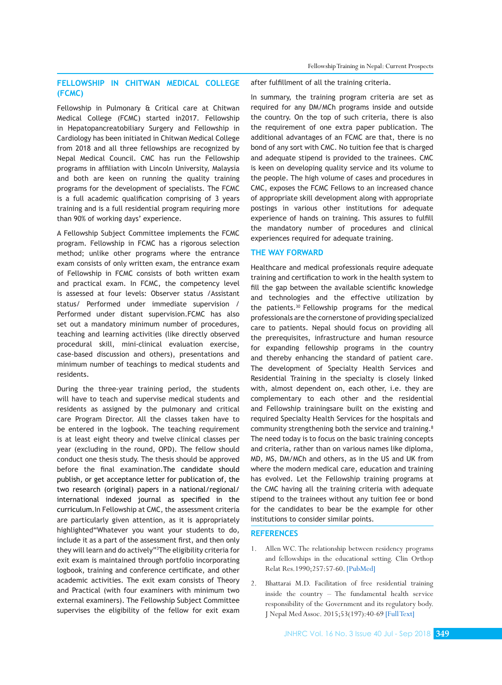## **FELLOWSHIP IN CHITWAN MEDICAL COLLEGE (FCMC)**

Fellowship in Pulmonary & Critical care at Chitwan Medical College (FCMC) started in2017. Fellowship in Hepatopancreatobiliary Surgery and Fellowship in Cardiology has been initiated in Chitwan Medical College from 2018 and all three fellowships are recognized by Nepal Medical Council. CMC has run the Fellowship programs in affiliation with Lincoln University, Malaysia and both are keen on running the quality training programs for the development of specialists. The FCMC is a full academic qualification comprising of 3 years training and is a full residential program requiring more than 90% of working days' experience.

A Fellowship Subject Committee implements the FCMC program. Fellowship in FCMC has a rigorous selection method; unlike other programs where the entrance exam consists of only written exam, the entrance exam of Fellowship in FCMC consists of both written exam and practical exam. In FCMC, the competency level is assessed at four levels: Observer status /Assistant status/ Performed under immediate supervision / Performed under distant supervision.FCMC has also set out a mandatory minimum number of procedures, teaching and learning activities (like directly observed procedural skill, mini-clinical evaluation exercise, case-based discussion and others), presentations and minimum number of teachings to medical students and residents.

During the three-year training period, the students will have to teach and supervise medical students and residents as assigned by the pulmonary and critical care Program Director. All the classes taken have to be entered in the logbook. The teaching requirement is at least eight theory and twelve clinical classes per year (excluding in the round, OPD). The fellow should conduct one thesis study. The thesis should be approved before the final examination.The candidate should publish, or get acceptance letter for publication of, the two research (original) papers in a national/regional/ international indexed journal as specified in the curriculum.In Fellowship at CMC, the assessment criteria are particularly given attention, as it is appropriately highlighted"Whatever you want your students to do, include it as a part of the assessment first, and then only they will learn and do actively"3 The eligibility criteria for exit exam is maintained through portfolio incorporating logbook, training and conference certificate, and other academic activities. The exit exam consists of Theory and Practical (with four examiners with minimum two external examiners). The Fellowship Subject Committee supervises the eligibility of the fellow for exit exam

after fulfillment of all the training criteria.

In summary, the training program criteria are set as required for any DM/MCh programs inside and outside the country. On the top of such criteria, there is also the requirement of one extra paper publication. The additional advantages of an FCMC are that, there is no bond of any sort with CMC. No tuition fee that is charged and adequate stipend is provided to the trainees. CMC is keen on developing quality service and its volume to the people. The high volume of cases and procedures in CMC, exposes the FCMC Fellows to an increased chance of appropriate skill development along with appropriate postings in various other institutions for adequate experience of hands on training. This assures to fulfill the mandatory number of procedures and clinical experiences required for adequate training.

## **THE WAY FORWARD**

Healthcare and medical professionals require adequate training and certification to work in the health system to fill the gap between the available scientific knowledge and technologies and the effective utilization by the patients.30 Fellowship programs for the medical professionals are the cornerstone of providing specialized care to patients. Nepal should focus on providing all the prerequisites, infrastructure and human resource for expanding fellowship programs in the country and thereby enhancing the standard of patient care. The development of Specialty Health Services and Residential Training in the specialty is closely linked with, almost dependent on, each other, i.e. they are complementary to each other and the residential and Fellowship trainingsare built on the existing and required Specialty Health Services for the hospitals and community strengthening both the service and training.<sup>8</sup> The need today is to focus on the basic training concepts and criteria, rather than on various names like diploma, MD, MS, DM/MCh and others, as in the US and UK from where the modern medical care, education and training has evolved. Let the Fellowship training programs at the CMC having all the training criteria with adequate stipend to the trainees without any tuition fee or bond for the candidates to bear be the example for other institutions to consider similar points.

#### **REFERENCES**

- 1. Allen WC. The relationship between residency programs and fellowships in the educational setting. Clin Orthop Relat Res.1990;257:57-60. [\[PubMed\]](https://www.ncbi.nlm.nih.gov/pubmed/?term=18.%09Allen+WC.+The+relationship+between+residency+programs+and+fellowships+in+the+educational+setting.+Clin+Orthop+Relat+Res+1990%3B257%3A57-60.)
- 2. Bhattarai M.D. Facilitation of free residential training inside the country – The fundamental health service responsibility of the Government and its regulatory body. J Nepal Med Assoc. 2015;53(197):40-69 [\[Full Text\]](http://www.jnma.com.np/jnma/index.php/jnma/article/view/2704)